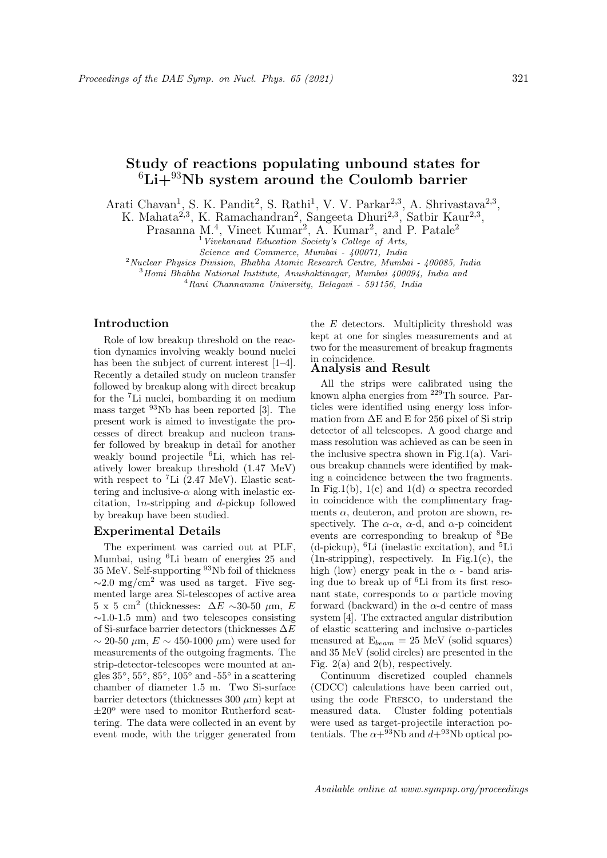# Study of reactions populating unbound states for  ${}^{6}Li+{}^{93}Nb$  system around the Coulomb barrier

Arati Chavan<sup>1</sup>, S. K. Pandit<sup>2</sup>, S. Rathi<sup>1</sup>, V. V. Parkar<sup>2,3</sup>, A. Shrivastava<sup>2,3</sup>,

K. Mahata<sup>2,3</sup>, K. Ramachandran<sup>2</sup>, Sangeeta Dhuri<sup>2,3</sup>, Satbir Kaur<sup>2,3</sup>,

Prasanna M.<sup>4</sup>, Vineet Kumar<sup>2</sup>, A. Kumar<sup>2</sup>, and P. Patale<sup>2</sup>

<sup>1</sup>Vivekanand Education Society's College of Arts,

Science and Commerce, Mumbai - 400071, India

<sup>2</sup>Nuclear Physics Division, Bhabha Atomic Research Centre, Mumbai - 400085, India

<sup>3</sup>Homi Bhabha National Institute, Anushaktinagar, Mumbai 400094, India and

<sup>4</sup>Rani Channamma University, Belagavi - 591156, India

### Introduction

Role of low breakup threshold on the reaction dynamics involving weakly bound nuclei has been the subject of current interest [1–4]. Recently a detailed study on nucleon transfer followed by breakup along with direct breakup for the <sup>7</sup>Li nuclei, bombarding it on medium mass target <sup>93</sup>Nb has been reported [3]. The present work is aimed to investigate the processes of direct breakup and nucleon transfer followed by breakup in detail for another weakly bound projectile <sup>6</sup>Li, which has relatively lower breakup threshold (1.47 MeV) with respect to <sup>7</sup>Li (2.47 MeV). Elastic scattering and inclusive- $\alpha$  along with inelastic excitation, 1n-stripping and d-pickup followed by breakup have been studied.

#### Experimental Details

The experiment was carried out at PLF, Mumbai, using <sup>6</sup>Li beam of energies 25 and 35 MeV. Self-supporting <sup>93</sup>Nb foil of thickness  $\sim$ 2.0 mg/cm<sup>2</sup> was used as target. Five segmented large area Si-telescopes of active area  $5 \times 5$  cm<sup>2</sup> (thicknesses:  $\Delta E \sim 30$ -50 µm, E  $\sim$ 1.0-1.5 mm) and two telescopes consisting of Si-surface barrier detectors (thicknesses ∆E  $\sim$  20-50  $\mu$ m,  $E \sim$  450-1000  $\mu$ m) were used for measurements of the outgoing fragments. The strip-detector-telescopes were mounted at angles  $35^{\circ}$ ,  $55^{\circ}$ ,  $85^{\circ}$ ,  $105^{\circ}$  and  $-55^{\circ}$  in a scattering chamber of diameter 1.5 m. Two Si-surface barrier detectors (thicknesses  $300 \ \mu m$ ) kept at  $\pm 20^{\circ}$  were used to monitor Rutherford scattering. The data were collected in an event by event mode, with the trigger generated from

the  $E$  detectors. Multiplicity threshold was kept at one for singles measurements and at two for the measurement of breakup fragments in coincidence.

#### Analysis and Result

All the strips were calibrated using the known alpha energies from <sup>229</sup>Th source. Particles were identified using energy loss information from  $\Delta E$  and E for 256 pixel of Si strip detector of all telescopes. A good charge and mass resolution was achieved as can be seen in the inclusive spectra shown in Fig.1(a). Various breakup channels were identified by making a coincidence between the two fragments. In Fig.1(b), 1(c) and 1(d)  $\alpha$  spectra recorded in coincidence with the complimentary fragments  $\alpha$ , deuteron, and proton are shown, respectively. The  $\alpha$ - $\alpha$ ,  $\alpha$ -d, and  $\alpha$ -p coincident events are corresponding to breakup of <sup>8</sup>Be (d-pickup), <sup>6</sup>Li (inelastic excitation), and <sup>5</sup>Li (1n-stripping), respectively. In Fig.1(c), the high (low) energy peak in the  $\alpha$  - band arising due to break up of <sup>6</sup>Li from its first resonant state, corresponds to  $\alpha$  particle moving forward (backward) in the  $\alpha$ -d centre of mass system [4]. The extracted angular distribution of elastic scattering and inclusive  $\alpha$ -particles measured at  $E_{beam} = 25$  MeV (solid squares) and 35 MeV (solid circles) are presented in the Fig.  $2(a)$  and  $2(b)$ , respectively.

Continuum discretized coupled channels (CDCC) calculations have been carried out, using the code Fresco, to understand the measured data. Cluster folding potentials were used as target-projectile interaction potentials. The  $\alpha + ^{93}Nb$  and  $d+^{93}Nb$  optical po-